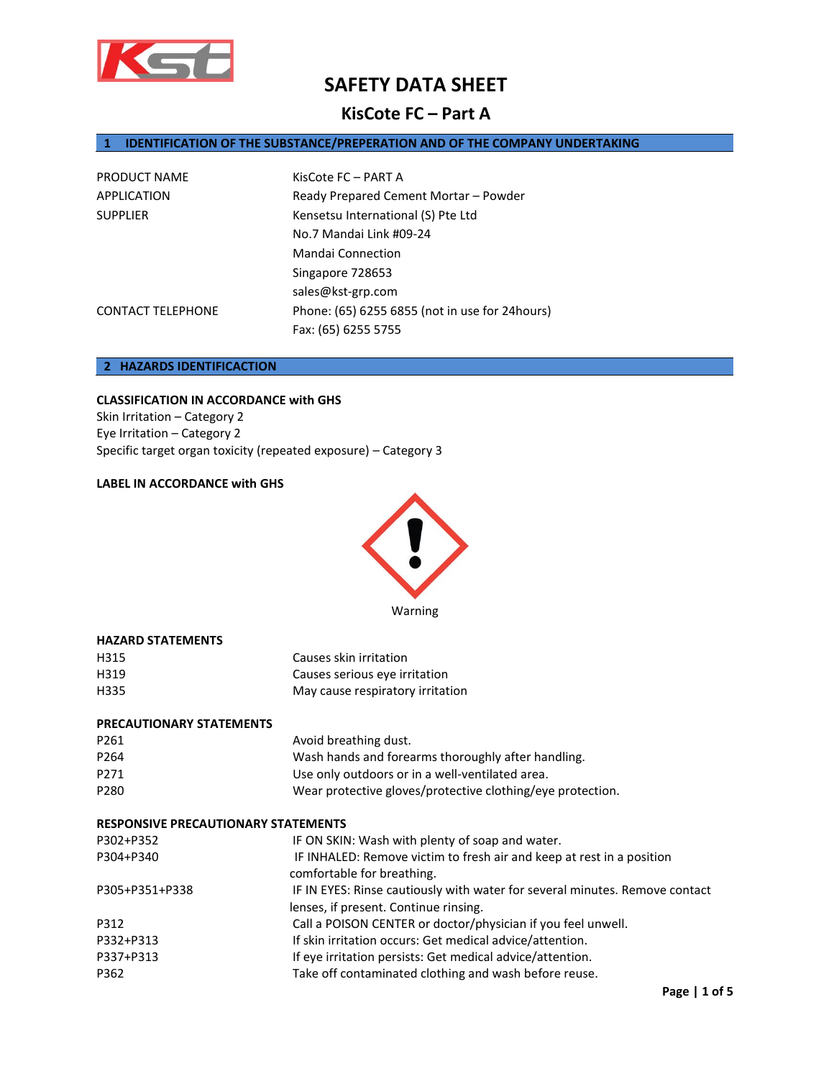

## **KisCote FC – Part A**

## **1 IDENTIFICATION OF THE SUBSTANCE/PREPERATION AND OF THE COMPANY UNDERTAKING**

| PRODUCT NAME             | KisCote FC - PART A                            |
|--------------------------|------------------------------------------------|
| APPLICATION              | Ready Prepared Cement Mortar - Powder          |
| <b>SUPPLIER</b>          | Kensetsu International (S) Pte Ltd             |
|                          | No.7 Mandai Link #09-24                        |
|                          | <b>Mandai Connection</b>                       |
|                          | Singapore 728653                               |
|                          | sales@kst-grp.com                              |
| <b>CONTACT TELEPHONE</b> | Phone: (65) 6255 6855 (not in use for 24hours) |
|                          | Fax: (65) 6255 5755                            |

## **2 HAZARDS IDENTIFICACTION**

## **CLASSIFICATION IN ACCORDANCE with GHS**

Skin Irritation – Category 2 Eye Irritation – Category 2 Specific target organ toxicity (repeated exposure) – Category 3

## **LABEL IN ACCORDANCE with GHS**

**HAZARD STATEMENTS**



Warning

| H315<br>H319                               | Causes skin irritation<br>Causes serious eye irritation                                             |
|--------------------------------------------|-----------------------------------------------------------------------------------------------------|
| H335                                       | May cause respiratory irritation                                                                    |
| <b>PRECAUTIONARY STATEMENTS</b>            |                                                                                                     |
| P261                                       | Avoid breathing dust.                                                                               |
| P264                                       | Wash hands and forearms thoroughly after handling.                                                  |
| P271                                       | Use only outdoors or in a well-ventilated area.                                                     |
| P280                                       | Wear protective gloves/protective clothing/eye protection.                                          |
| <b>RESPONSIVE PRECAUTIONARY STATEMENTS</b> |                                                                                                     |
| P302+P352                                  | IF ON SKIN: Wash with plenty of soap and water.                                                     |
| P304+P340                                  | IF INHALED: Remove victim to fresh air and keep at rest in a position<br>comfortable for breathing. |
| P305+P351+P338                             | IF IN EYES: Rinse cautiously with water for several minutes. Remove contact                         |
|                                            | lenses, if present. Continue rinsing.                                                               |
| P312                                       | Call a POISON CENTER or doctor/physician if you feel unwell.                                        |
| P332+P313                                  | If skin irritation occurs: Get medical advice/attention.                                            |
| P337+P313                                  | If eye irritation persists: Get medical advice/attention.                                           |
| P362                                       | Take off contaminated clothing and wash before reuse.                                               |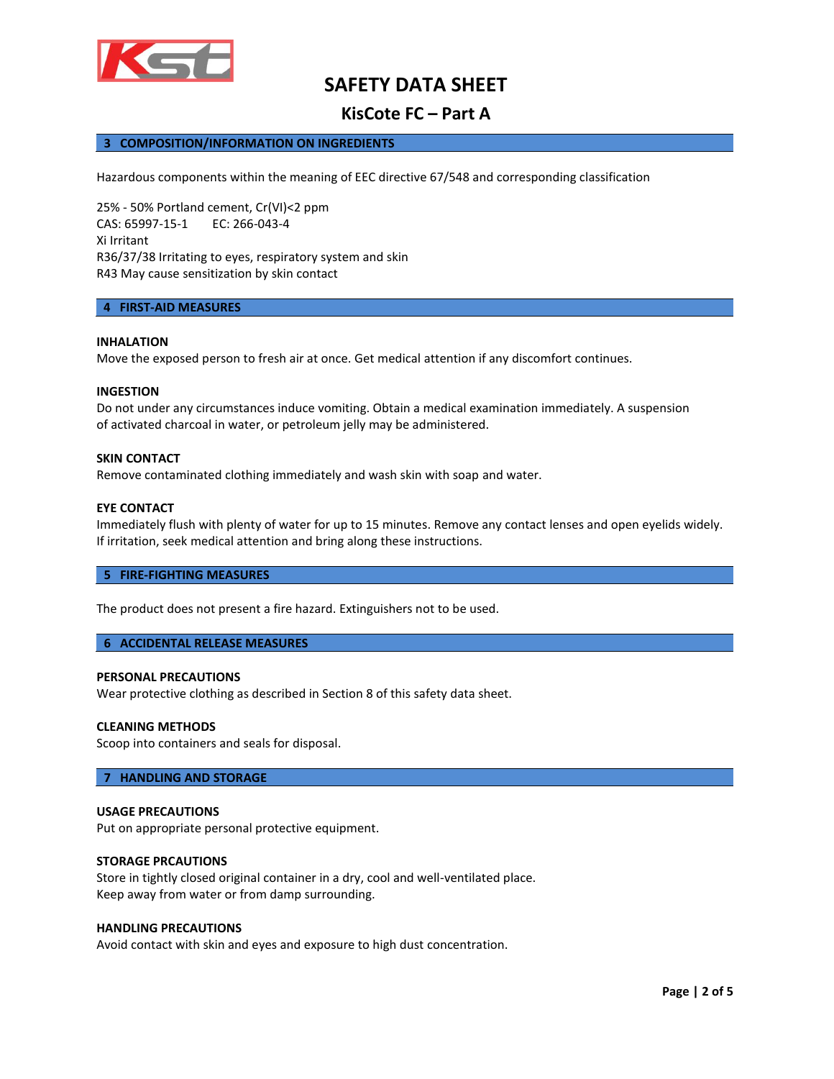

## **KisCote FC – Part A**

## **3 COMPOSITION/INFORMATION ON INGREDIENTS**

Hazardous components within the meaning of EEC directive 67/548 and corresponding classification

25% - 50% Portland cement, Cr(VI)<2 ppm CAS: 65997-15-1 EC: 266-043-4 Xi Irritant R36/37/38 Irritating to eyes, respiratory system and skin R43 May cause sensitization by skin contact

#### **4 FIRST-AID MEASURES**

#### **INHALATION**

Move the exposed person to fresh air at once. Get medical attention if any discomfort continues.

#### **INGESTION**

Do not under any circumstances induce vomiting. Obtain a medical examination immediately. A suspension of activated charcoal in water, or petroleum jelly may be administered.

#### **SKIN CONTACT**

Remove contaminated clothing immediately and wash skin with soap and water.

#### **EYE CONTACT**

Immediately flush with plenty of water for up to 15 minutes. Remove any contact lenses and open eyelids widely. If irritation, seek medical attention and bring along these instructions.

#### **5 FIRE-FIGHTING MEASURES**

The product does not present a fire hazard. Extinguishers not to be used.

#### **6 ACCIDENTAL RELEASE MEASURES**

#### **PERSONAL PRECAUTIONS**

Wear protective clothing as described in Section 8 of this safety data sheet.

#### **CLEANING METHODS**

Scoop into containers and seals for disposal.

#### **7 HANDLING AND STORAGE**

#### **USAGE PRECAUTIONS**

Put on appropriate personal protective equipment.

### **STORAGE PRCAUTIONS**

Store in tightly closed original container in a dry, cool and well-ventilated place. Keep away from water or from damp surrounding.

## **HANDLING PRECAUTIONS**

Avoid contact with skin and eyes and exposure to high dust concentration.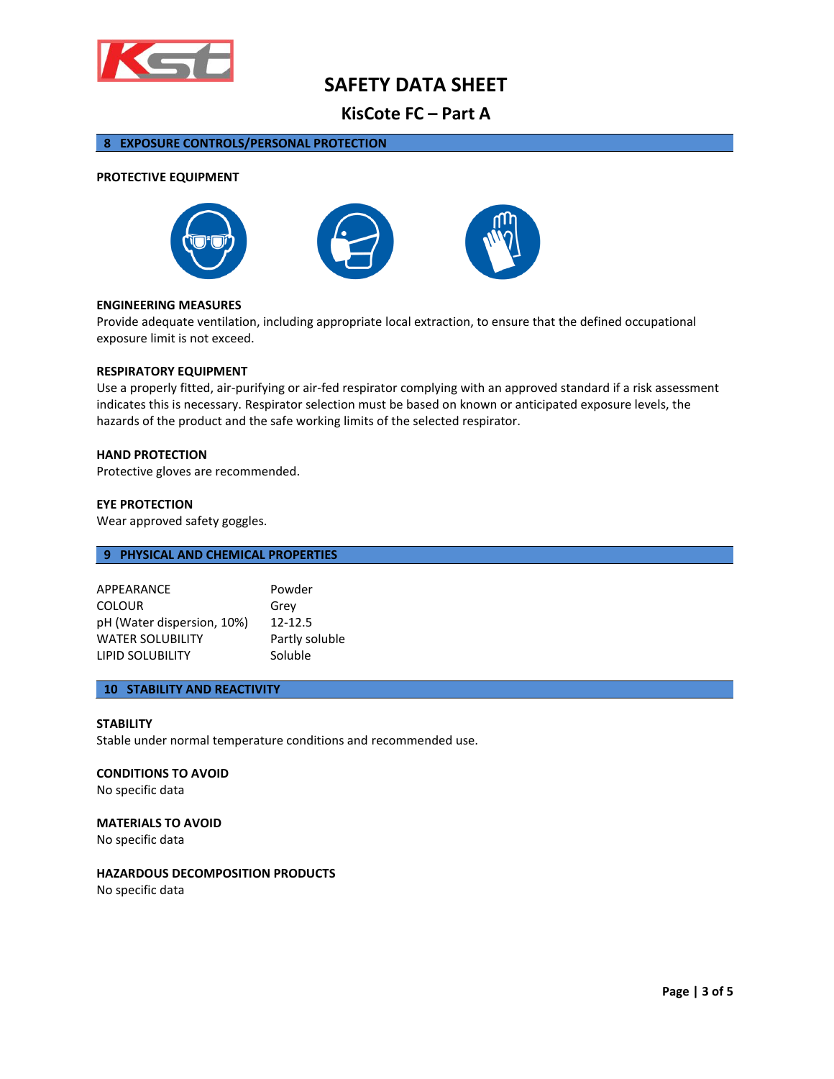

## **KisCote FC – Part A**

## **8 EXPOSURE CONTROLS/PERSONAL PROTECTION**

#### **PROTECTIVE EQUIPMENT**







#### **ENGINEERING MEASURES**

Provide adequate ventilation, including appropriate local extraction, to ensure that the defined occupational exposure limit is not exceed.

#### **RESPIRATORY EQUIPMENT**

Use a properly fitted, air-purifying or air-fed respirator complying with an approved standard if a risk assessment indicates this is necessary. Respirator selection must be based on known or anticipated exposure levels, the hazards of the product and the safe working limits of the selected respirator.

### **HAND PROTECTION**

Protective gloves are recommended.

#### **EYE PROTECTION**

Wear approved safety goggles.

## **9 PHYSICAL AND CHEMICAL PROPERTIES**

| APPEARANCE                 | Powder         |
|----------------------------|----------------|
| <b>COLOUR</b>              | Grey           |
| pH (Water dispersion, 10%) | $12 - 12.5$    |
| <b>WATER SOLUBILITY</b>    | Partly soluble |
| <b>LIPID SOLUBILITY</b>    | Soluble        |

## **10 STABILITY AND REACTIVITY**

#### **STABILITY**

Stable under normal temperature conditions and recommended use.

#### **CONDITIONS TO AVOID**

No specific data

#### **MATERIALS TO AVOID**

No specific data

#### **HAZARDOUS DECOMPOSITION PRODUCTS**

No specific data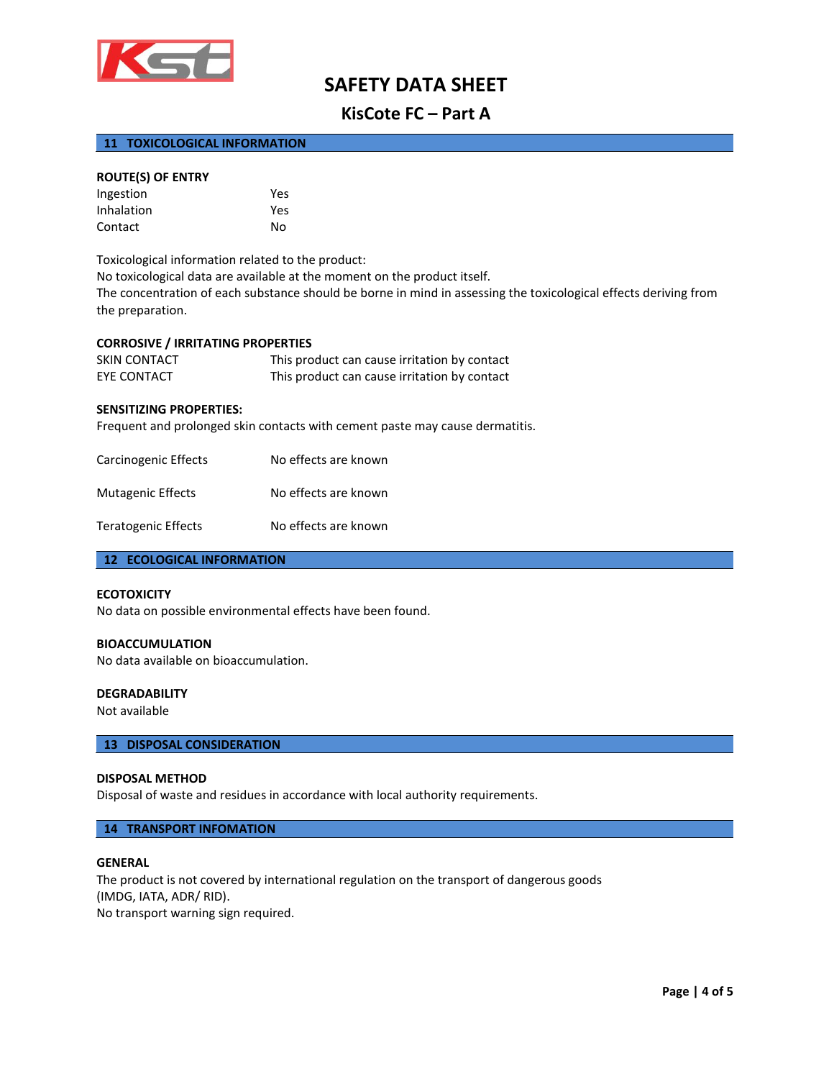

## **KisCote FC – Part A**

## **11 TOXICOLOGICAL INFORMATION**

## **ROUTE(S) OF ENTRY**

| Ingestion  | Yes |
|------------|-----|
| Inhalation | Yes |
| Contact    | No  |

Toxicological information related to the product: No toxicological data are available at the moment on the product itself. The concentration of each substance should be borne in mind in assessing the toxicological effects deriving from the preparation.

#### **CORROSIVE / IRRITATING PROPERTIES**

| SKIN CONTACT | This product can cause irritation by contact |
|--------------|----------------------------------------------|
| EYE CONTACT  | This product can cause irritation by contact |

#### **SENSITIZING PROPERTIES:**

Frequent and prolonged skin contacts with cement paste may cause dermatitis.

| Carcinogenic Effects     | No effects are known |
|--------------------------|----------------------|
| <b>Mutagenic Effects</b> | No effects are known |
| Teratogenic Effects      | No effects are known |

## **12 ECOLOGICAL INFORMATION**

#### **ECOTOXICITY**

No data on possible environmental effects have been found.

## **BIOACCUMULATION**

No data available on bioaccumulation.

#### **DEGRADABILITY**

Not available

#### **13 DISPOSAL CONSIDERATION**

#### **DISPOSAL METHOD**

Disposal of waste and residues in accordance with local authority requirements.

#### **14 TRANSPORT INFOMATION**

#### **GENERAL**

The product is not covered by international regulation on the transport of dangerous goods (IMDG, IATA, ADR/ RID). No transport warning sign required.